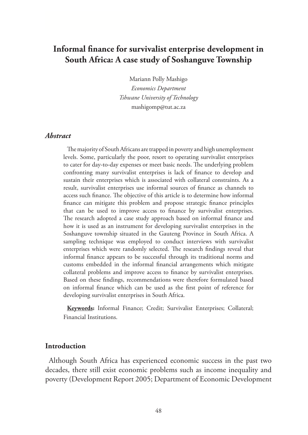# **Informal finance for survivalist enterprise development in South Africa: A case study of Soshanguve Township**

Mariann Polly Mashigo *Economics Department Tshwane University of Technology* mashigomp@tut.ac.za

#### *Abstract*

The majority of South Africans are trapped in poverty and high unemployment levels. Some, particularly the poor, resort to operating survivalist enterprises to cater for day-to-day expenses or meet basic needs. The underlying problem confronting many survivalist enterprises is lack of finance to develop and sustain their enterprises which is associated with collateral constraints. As a result, survivalist enterprises use informal sources of finance as channels to access such finance. The objective of this article is to determine how informal finance can mitigate this problem and propose strategic finance principles that can be used to improve access to finance by survivalist enterprises. The research adopted a case study approach based on informal finance and how it is used as an instrument for developing survivalist enterprises in the Soshanguve township situated in the Gauteng Province in South Africa. A sampling technique was employed to conduct interviews with survivalist enterprises which were randomly selected. The research findings reveal that informal finance appears to be successful through its traditional norms and customs embedded in the informal financial arrangements which mitigate collateral problems and improve access to finance by survivalist enterprises. Based on these findings, recommendations were therefore formulated based on informal finance which can be used as the first point of reference for developing survivalist enterprises in South Africa.

**Keywords:** Informal Finance; Credit; Survivalist Enterprises; Collateral; Financial Institutions.

#### **Introduction**

Although South Africa has experienced economic success in the past two decades, there still exist economic problems such as income inequality and poverty (Development Report 2005; Department of Economic Development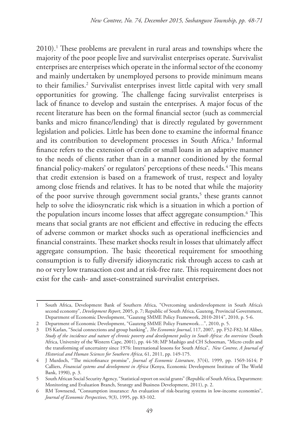2010).1 These problems are prevalent in rural areas and townships where the majority of the poor people live and survivalist enterprises operate. Survivalist enterprises are enterprises which operate in the informal sector of the economy and mainly undertaken by unemployed persons to provide minimum means to their families.<sup>2</sup> Survivalist enterprises invest little capital with very small opportunities for growing. The challenge facing survivalist enterprises is lack of finance to develop and sustain the enterprises. A major focus of the recent literature has been on the formal financial sector (such as commercial banks and micro finance/lending) that is directly regulated by government legislation and policies. Little has been done to examine the informal finance and its contribution to development processes in South Africa.3 Informal finance refers to the extension of credit or small loans in an adaptive manner to the needs of clients rather than in a manner conditioned by the formal financial policy-makers' or regulators' perceptions of these needs.<sup>4</sup> This means that credit extension is based on a framework of trust, respect and loyalty among close friends and relatives. It has to be noted that while the majority of the poor survive through government social grants,<sup>5</sup> these grants cannot help to solve the idiosyncratic risk which is a situation in which a portion of the population incurs income losses that affect aggregate consumption. $^6$  This means that social grants are not efficient and effective in reducing the effects of adverse common or market shocks such as operational inefficiencies and financial constraints. These market shocks result in losses that ultimately affect aggregate consumption. The basic theoretical requirement for smoothing consumption is to fully diversify idiosyncratic risk through access to cash at no or very low transaction cost and at risk-free rate. This requirement does not exist for the cash- and asset-constrained survivalist enterprises.

<sup>1</sup> South Africa, Development Bank of Southern Africa, "Overcoming underdevelopment in South Africa's second economy", *Development Report*, 2005, p. 7; Republic of South Africa, Gauteng, Provincial Government, Department of Economic Development, "Gauteng SMME Policy Framework, 2010-2014", 2010, p. 5-6.

<sup>2</sup> Department of Economic Development, "Gauteng SMME Policy Framework…", 2010, p. 5.

<sup>3</sup> DS Karlan, "Social connections and group banking", *The Economic Journal*, 117, 2007, pp. F52-F82; M Aliber, *Study of the incidence and nature of chronic poverty and development policy in South Africa: An overview* (South Africa, University of the Western Cape, 2001), pp. 44-58; MP Mashigo and CH Schoeman, "Micro credit and the transforming of uncertainty since 1976: International lessons for South Africa", *New Contree, A Journal of Historical and Human Sciences for Southern Africa*, 61, 2011, pp. 149-175.

<sup>4</sup> J Murdoch, "The microfinance promise", *Journal of Economic Literature*, 37(4), 1999, pp. 1569-1614; P Calliers, *Financial systems and development in Africa* (Kenya, Economic Development Institute of The World Bank, 1990), p. 3.

<sup>5</sup> South African Social Security Agency, "Statistical report on social grants" (Republic of South Africa, Department: Monitoring and Evaluation Branch, Strategy and Business Development, 2011), p. 2.

<sup>6</sup> RM Townsend, "Consumption insurance: An evaluation of risk-bearing systems in low-income economies", *Journal of Economic Perspectives*, 9(3), 1995, pp. 83-102.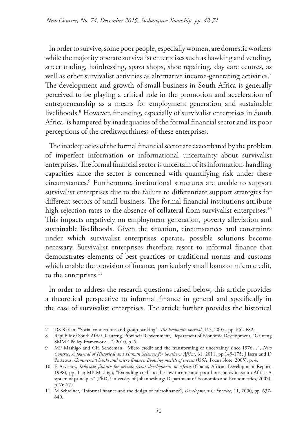In order to survive, some poor people, especially women, are domestic workers while the majority operate survivalist enterprises such as hawking and vending, street trading, hairdressing, spaza shops, shoe repairing, day care centres, as well as other survivalist activities as alternative income-generating activities.<sup>7</sup> The development and growth of small business in South Africa is generally perceived to be playing a critical role in the promotion and acceleration of entrepreneurship as a means for employment generation and sustainable livelihoods.8 However, financing, especially of survivalist enterprises in South Africa, is hampered by inadequacies of the formal financial sector and its poor perceptions of the creditworthiness of these enterprises.

The inadequacies of the formal financial sector are exacerbated by the problem of imperfect information or informational uncertainty about survivalist enterprises. The formal financial sector is uncertain of its information-handling capacities since the sector is concerned with quantifying risk under these circumstances.9 Furthermore, institutional structures are unable to support survivalist enterprises due to the failure to differentiate support strategies for different sectors of small business. The formal financial institutions attribute high rejection rates to the absence of collateral from survivalist enterprises.<sup>10</sup> This impacts negatively on employment generation, poverty alleviation and sustainable livelihoods. Given the situation, circumstances and constraints under which survivalist enterprises operate, possible solutions become necessary. Survivalist enterprises therefore resort to informal finance that demonstrates elements of best practices or traditional norms and customs which enable the provision of finance, particularly small loans or micro credit, to the enterprises.<sup>11</sup>

In order to address the research questions raised below, this article provides a theoretical perspective to informal finance in general and specifically in the case of survivalist enterprises. The article further provides the historical

<sup>7</sup> DS Karlan, "Social connections and group banking", *The Economic Journal*, 117, 2007, pp. F52-F82.

<sup>8</sup> Republic of South Africa, Gauteng, Provincial Government, Department of Economic Development, "Gauteng SMME Policy Framework…", 2010, p. 6.

<sup>9</sup> MP Mashigo and CH Schoeman, "Micro credit and the transforming of uncertainty since 1976…", *New Contree, A Journal of Historical and Human Sciences for Southern Africa*, 61, 2011, pp.149-175; J Isern and D Porteous, *Commercial banks and micro finance: Evolving models of success* (USA, Focus Note, 2005), p. 4.

<sup>10</sup> E Aryeetey, *Informal finance for private sector development in Africa* (Ghana, African Development Report, 1998), pp. 1-3; MP Mashigo, "Extending credit to the low-income and poor households in South Africa: A system of principles" (PhD, University of Johannesburg: Department of Economics and Econometrics, 2007), p. 76-77).

<sup>11</sup> M Schreiner, "Informal finance and the design of microfinance", *Development in Practice,* 11, 2000, pp. 637- 640.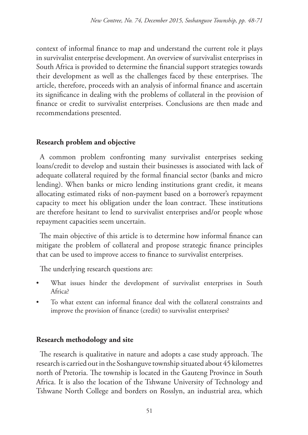context of informal finance to map and understand the current role it plays in survivalist enterprise development. An overview of survivalist enterprises in South Africa is provided to determine the financial support strategies towards their development as well as the challenges faced by these enterprises. The article, therefore, proceeds with an analysis of informal finance and ascertain its significance in dealing with the problems of collateral in the provision of finance or credit to survivalist enterprises. Conclusions are then made and recommendations presented.

# **Research problem and objective**

A common problem confronting many survivalist enterprises seeking loans/credit to develop and sustain their businesses is associated with lack of adequate collateral required by the formal financial sector (banks and micro lending). When banks or micro lending institutions grant credit, it means allocating estimated risks of non-payment based on a borrower's repayment capacity to meet his obligation under the loan contract. These institutions are therefore hesitant to lend to survivalist enterprises and/or people whose repayment capacities seem uncertain.

The main objective of this article is to determine how informal finance can mitigate the problem of collateral and propose strategic finance principles that can be used to improve access to finance to survivalist enterprises.

The underlying research questions are:

- What issues hinder the development of survivalist enterprises in South Africa?
- To what extent can informal finance deal with the collateral constraints and improve the provision of finance (credit) to survivalist enterprises?

# **Research methodology and site**

The research is qualitative in nature and adopts a case study approach. The research is carried out in the Soshanguve township situated about 45 kilometres north of Pretoria. The township is located in the Gauteng Province in South Africa. It is also the location of the Tshwane University of Technology and Tshwane North College and borders on Rosslyn, an industrial area, which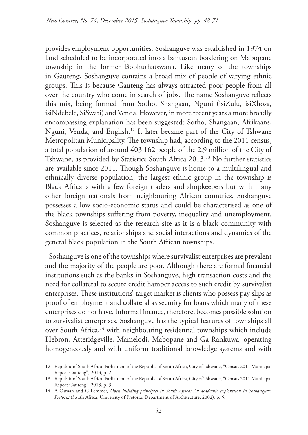provides employment opportunities. Soshanguve was established in 1974 on land scheduled to be incorporated into a bantustan bordering on Mabopane township in the former Bophuthatswana. Like many of the townships in Gauteng, Soshanguve contains a broad mix of people of varying ethnic groups. This is because Gauteng has always attracted poor people from all over the country who come in search of jobs. The name Soshanguve reflects this mix, being formed from Sotho, Shangaan, Nguni (isiZulu, isiXhosa, isiNdebele, SiSwati) and Venda. However, in more recent years a more broadly encompassing explanation has been suggested: Sotho, Shangaan, Afrikaans, Nguni, Venda, and English.12 It later became part of the City of Tshwane Metropolitan Municipality. The township had, according to the 2011 census, a total population of around 403 162 people of the 2.9 million of the City of Tshwane, as provided by Statistics South Africa 2013.13 No further statistics are available since 2011. Though Soshanguve is home to a multilingual and ethnically diverse population, the largest ethnic group in the township is Black Africans with a few foreign traders and shopkeepers but with many other foreign nationals from neighbouring African countries. Soshanguve possesses a low socio-economic status and could be characterised as one of the black townships suffering from poverty, inequality and unemployment. Soshanguve is selected as the research site as it is a black community with common practices, relationships and social interactions and dynamics of the general black population in the South African townships.

Soshanguve is one of the townships where survivalist enterprises are prevalent and the majority of the people are poor. Although there are formal financial institutions such as the banks in Soshanguve, high transaction costs and the need for collateral to secure credit hamper access to such credit by survivalist enterprises. These institutions' target market is clients who possess pay slips as proof of employment and collateral as security for loans which many of these enterprises do not have. Informal finance, therefore, becomes possible solution to survivalist enterprises. Soshanguve has the typical features of townships all over South Africa,<sup>14</sup> with neighbouring residential townships which include Hebron, Atteridgeville, Mamelodi, Mabopane and Ga-Rankuwa, operating homogeneously and with uniform traditional knowledge systems and with

<sup>12</sup> Republic of South Africa, Parliament of the Republic of South Africa, City of Tshwane, "Census 2011 Municipal Report Gauteng", 2013, p. 2.

<sup>13</sup> Republic of South Africa, Parliament of the Republic of South Africa, City of Tshwane, "Census 2011 Municipal Report Gauteng", 2013, p. 3.

<sup>14</sup> A Osman and C Lemmer, *Open building principles in South Africa: An academic exploration in Soshanguve, Pretoria* (South Africa, University of Pretoria, Department of Architecture, 2002), p. 5.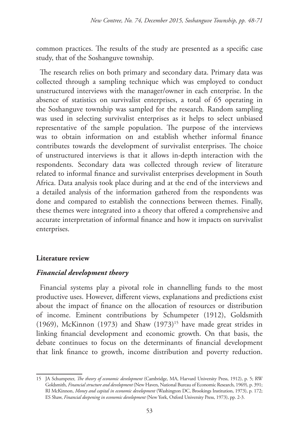common practices. The results of the study are presented as a specific case study, that of the Soshanguve township.

The research relies on both primary and secondary data. Primary data was collected through a sampling technique which was employed to conduct unstructured interviews with the manager/owner in each enterprise. In the absence of statistics on survivalist enterprises, a total of 65 operating in the Soshanguve township was sampled for the research. Random sampling was used in selecting survivalist enterprises as it helps to select unbiased representative of the sample population. The purpose of the interviews was to obtain information on and establish whether informal finance contributes towards the development of survivalist enterprises. The choice of unstructured interviews is that it allows in-depth interaction with the respondents. Secondary data was collected through review of literature related to informal finance and survivalist enterprises development in South Africa. Data analysis took place during and at the end of the interviews and a detailed analysis of the information gathered from the respondents was done and compared to establish the connections between themes. Finally, these themes were integrated into a theory that offered a comprehensive and accurate interpretation of informal finance and how it impacts on survivalist enterprises.

### **Literature review**

### *Financial development theory*

Financial systems play a pivotal role in channelling funds to the most productive uses. However, different views, explanations and predictions exist about the impact of finance on the allocation of resources or distribution of income. Eminent contributions by Schumpeter (1912), Goldsmith (1969), McKinnon (1973) and Shaw  $(1973)^{15}$  have made great strides in linking financial development and economic growth. On that basis, the debate continues to focus on the determinants of financial development that link finance to growth, income distribution and poverty reduction.

<sup>15</sup> JA Schumpeter, *The theory of economic development* (Cambridge, MA, Harvard University Press, 1912), p. 5; RW Goldsmith, *Financial structure and development* (New Haven, National Bureau of Economic Research, 1969), p. 391; RI McKinnon, *Money and capital in economic development* (Washington DC, Brookings Institution, 1973), p. 172; ES Shaw, *Financial deepening in economic development* (New York, Oxford University Press, 1973), pp. 2-3.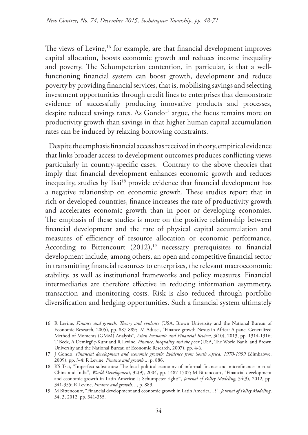The views of Levine,<sup>16</sup> for example, are that financial development improves capital allocation, boosts economic growth and reduces income inequality and poverty. The Schumpeterian contention, in particular, is that a wellfunctioning financial system can boost growth, development and reduce poverty by providing financial services, that is, mobilising savings and selecting investment opportunities through credit lines to enterprises that demonstrate evidence of successfully producing innovative products and processes, despite reduced savings rates. As Gondo<sup>17</sup> argue, the focus remains more on productivity growth than savings in that higher human capital accumulation rates can be induced by relaxing borrowing constraints.

Despite the emphasis financial access has received in theory, empirical evidence that links broader access to development outcomes produces conflicting views particularly in country-specific cases. Contrary to the above theories that imply that financial development enhances economic growth and reduces inequality, studies by Tsai<sup>18</sup> provide evidence that financial development has a negative relationship on economic growth. These studies report that in rich or developed countries, finance increases the rate of productivity growth and accelerates economic growth than in poor or developing economies. The emphasis of these studies is more on the positive relationship between financial development and the rate of physical capital accumulation and measures of efficiency of resource allocation or economic performance. According to Bittencourt  $(2012)$ ,<sup>19</sup> necessary prerequisites to financial development include, among others, an open and competitive financial sector in transmitting financial resources to enterprises, the relevant macroeconomic stability, as well as institutional frameworks and policy measures. Financial intermediaries are therefore effective in reducing information asymmetry, transaction and monitoring costs. Risk is also reduced through portfolio diversification and hedging opportunities. Such a financial system ultimately

<sup>16</sup> R Levine, *Finance and growth: Theory and evidence* (USA, Brown University and the National Bureau of Economic Research, 2005), pp. 887-889; M Adusei, "Finance-growth Nexus in Africa: A panel Generalized Method of Moments (GMM) Analysis", *Asian Economic and Financial Review*, 3(10), 2013, pp. 1314-1316; T Beck, A Demirgüç-Kunt and R Levine, *Finance, inequality and the poor* (USA, The World Bank, and Brown University and the National Bureau of Economic Research, 2007), pp. 4-6.

<sup>17</sup> J Gondo, *Financial development and economic growth: Evidence from South Africa: 1970-1999* (Zimbabwe, 2009), pp. 3-4; R Levine, *Finance and growth...*, p. 886.

<sup>18</sup> KS Tsai, "Imperfect substitutes: The local political economy of informal finance and microfinance in rural China and India", *World Development*, 32(9), 2004, pp. 1487-1507; M Bittencourt, "Financial development and economic growth in Latin America: Is Schumpeter right?", *Journal of Policy Modeling*, 34(3), 2012, pp. 341-355; R Levine, *Finance and growth*…, p. 889.

<sup>19</sup> M Bittencourt, "Financial development and economic growth in Latin America…?", *Journal of Policy Modeling*, 34, 3, 2012, pp. 341-355.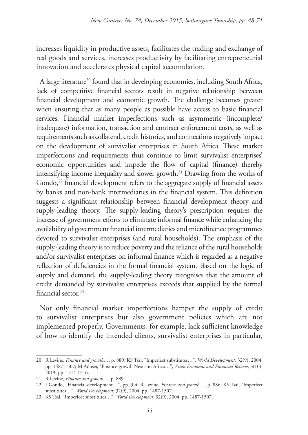increases liquidity in productive assets, facilitates the trading and exchange of real goods and services, increases productivity by facilitating entrepreneurial innovation and accelerates physical capital accumulation.

A large literature<sup>20</sup> found that in developing economies, including South Africa, lack of competitive financial sectors result in negative relationship between financial development and economic growth. The challenge becomes greater when ensuring that as many people as possible have access to basic financial services. Financial market imperfections such as asymmetric (incomplete/ inadequate) information, transaction and contract enforcement costs, as well as requirements such as collateral, credit histories, and connections negatively impact on the development of survivalist enterprises in South Africa. These market imperfections and requirements thus continue to limit survivalist enterprises' economic opportunities and impede the flow of capital (finance) thereby intensifying income inequality and slower growth.21 Drawing from the works of Gondo,<sup>22</sup> financial development refers to the aggregate supply of financial assets by banks and non-bank intermediaries in the financial system. This definition suggests a significant relationship between financial development theory and supply-leading theory. The supply-leading theory's prescription requires the increase of government efforts to eliminate informal finance while enhancing the availability of government financial intermediaries and microfinance programmes devoted to survivalist enterprises (and rural households). The emphasis of the supply-leading theory is to reduce poverty and the reliance of the rural households and/or survivalist enterprises on informal finance which is regarded as a negative reflection of deficiencies in the formal financial system. Based on the logic of supply and demand, the supply-leading theory recognises that the amount of credit demanded by survivalist enterprises exceeds that supplied by the formal financial sector.23

Not only financial market imperfections hamper the supply of credit to survivalist enterprises but also government policies which are not implemented properly. Governments, for example, lack sufficient knowledge of how to identify the intended clients, survivalist enterprises in particular,

<sup>20</sup> R Levine, *Finance and growth*…, p. 889; KS Tsai, "Imperfect substitutes…", *World Development*, 32(9), 2004, pp. 1487-1507; M Adusei, "Finance-growth Nexus in Africa…", *Asian Economic and Financial Review*, 3(10), 2013, pp. 1314-1316.

<sup>21</sup> R Levine, *Finance and growth*…, p. 889.

<sup>22</sup> J Gondo, "Financial development…", pp. 3-4; R Levine, *Finance and growth*…, p. 886; KS Tsai, "Imperfect substitutes…", *World Development*, 32(9), 2004. pp. 1487-1507.

<sup>23</sup> KS Tsai, "Imperfect substitutes…", *World Development*, 32(9), 2004. pp. 1487-1507.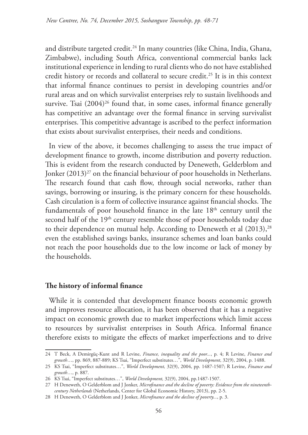and distribute targeted credit.24 In many countries (like China, India, Ghana, Zimbabwe), including South Africa, conventional commercial banks lack institutional experience in lending to rural clients who do not have established credit history or records and collateral to secure credit.<sup>25</sup> It is in this context that informal finance continues to persist in developing countries and/or rural areas and on which survivalist enterprises rely to sustain livelihoods and survive. Tsai  $(2004)^{26}$  found that, in some cases, informal finance generally has competitive an advantage over the formal finance in serving survivalist enterprises. This competitive advantage is ascribed to the perfect information that exists about survivalist enterprises, their needs and conditions.

In view of the above, it becomes challenging to assess the true impact of development finance to growth, income distribution and poverty reduction. This is evident from the research conducted by Deneweth, Gelderblom and Jonker (2013)<sup>27</sup> on the financial behaviour of poor households in Netherlans. The research found that cash flow, through social networks, rather than savings, borrowing or insuring, is the primary concern for these households. Cash circulation is a form of collective insurance against financial shocks. The fundamentals of poor household finance in the late 18<sup>th</sup> century until the second half of the 19<sup>th</sup> century resemble those of poor households today due to their dependence on mutual help. According to Deneweth et al  $(2013)$ ,<sup>28</sup> even the established savings banks, insurance schemes and loan banks could not reach the poor households due to the low income or lack of money by the households.

#### **The history of informal finance**

While it is contended that development finance boosts economic growth and improves resource allocation, it has been observed that it has a negative impact on economic growth due to market imperfections which limit access to resources by survivalist enterprises in South Africa. Informal finance therefore exists to mitigate the effects of market imperfections and to drive

<sup>24</sup> T Beck, A Demirgüç-Kunt and R Levine, *Finance, inequality and the poor...*, p. 4; R Levine, *Finance and growth*…, pp. 869, 887-889; KS Tsai, "Imperfect substitutes…", *World Development*, 32(9), 2004, p. 1488.

<sup>25</sup> KS Tsai, "Imperfect substitutes…", *World Development,* 32(9), 2004, pp. 1487-1507; R Levine, *Finance and growth*…, p. 887.

<sup>26</sup> KS Tsai, "Imperfect substitutes…", *World Development,* 32(9), 2004, pp.1487-1507.

<sup>27</sup> H Deneweth, O Gelderblom and J Jonker, *Microfinance and the decline of poverty: Evidence from the nineteenthcentury Netherlands* (Netherlands, Center for Global Economic History, 2013), pp. 2-5.

<sup>28</sup> H Deneweth, O Gelderblom and J Jonker, *Microfinance and the decline of poverty...*, p. 3.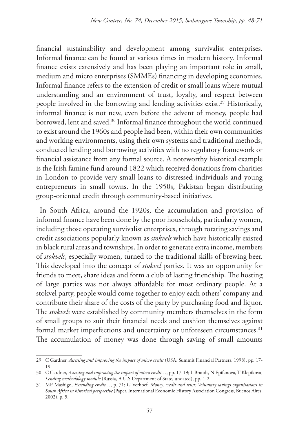financial sustainability and development among survivalist enterprises. Informal finance can be found at various times in modern history. Informal finance exists extensively and has been playing an important role in small, medium and micro enterprises (SMMEs) financing in developing economies. Informal finance refers to the extension of credit or small loans where mutual understanding and an environment of trust, loyalty, and respect between people involved in the borrowing and lending activities exist.<sup>29</sup> Historically, informal finance is not new, even before the advent of money, people had borrowed, lent and saved.<sup>30</sup> Informal finance throughout the world continued to exist around the 1960s and people had been, within their own communities and working environments, using their own systems and traditional methods, conducted lending and borrowing activities with no regulatory framework or financial assistance from any formal source. A noteworthy historical example is the Irish famine fund around 1822 which received donations from charities in London to provide very small loans to distressed individuals and young entrepreneurs in small towns. In the 1950s, Pakistan began distributing group-oriented credit through community-based initiatives.

In South Africa, around the 1920s, the accumulation and provision of informal finance have been done by the poor households, particularly women, including those operating survivalist enterprises, through rotating savings and credit associations popularly known as *stokvels* which have historically existed in black rural areas and townships. In order to generate extra income, members of *stokvels*, especially women, turned to the traditional skills of brewing beer. This developed into the concept of *stokvel* parties. It was an opportunity for friends to meet, share ideas and form a club of lasting friendship. The hosting of large parties was not always affordable for most ordinary people. At a stokvel party, people would come together to enjoy each others' company and contribute their share of the costs of the party by purchasing food and liquor. The *stokvels* were established by community members themselves in the form of small groups to suit their financial needs and cushion themselves against formal market imperfections and uncertainty or unforeseen circumstances.<sup>31</sup> The accumulation of money was done through saving of small amounts

<sup>29</sup> C Gardner, *Assessing and improving the impact of micro credit* (USA, Summit Financial Partners, 1998), pp. 17- 19.

<sup>30</sup> C Gardner, *Assessing and improving the impact of micro credit…*, pp. 17-19; L Brandt, N Epifanova, T Klepikova, *Lending methodology module* (Russia, A U.S Department of State, undated), pp. 1-2.

<sup>31</sup> MP Mashigo, *Extending credit…*, p. 71; G Verhoef, *Money, credit and trust: Voluntary savings organisations in South Africa in historical perspective* (Paper, International Economic History Association Congress, Buenos Aires, 2002), p. 5.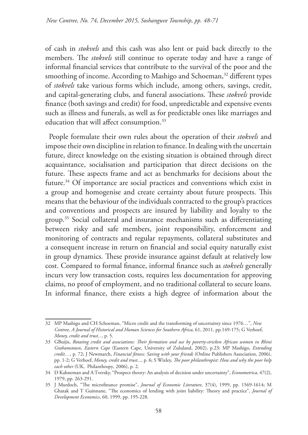of cash in *stokvels* and this cash was also lent or paid back directly to the members. The *stokvels* still continue to operate today and have a range of informal financial services that contribute to the survival of the poor and the smoothing of income. According to Mashigo and Schoeman,<sup>32</sup> different types of *stokvels* take various forms which include, among others, savings, credit, and capital-generating clubs, and funeral associations. These *stokvels* provide finance (both savings and credit) for food, unpredictable and expensive events such as illness and funerals, as well as for predictable ones like marriages and education that will affect consumption.<sup>33</sup>

People formulate their own rules about the operation of their *stokvels* and impose their own discipline in relation to finance. In dealing with the uncertain future, direct knowledge on the existing situation is obtained through direct acquaintance, socialisation and participation that direct decisions on the future. These aspects frame and act as benchmarks for decisions about the future.34 Of importance are social practices and conventions which exist in a group and homogenise and create certainty about future prospects. This means that the behaviour of the individuals contracted to the group's practices and conventions and prospects are insured by liability and loyalty to the group.35 Social collateral and insurance mechanisms such as differentiating between risky and safe members, joint responsibility, enforcement and monitoring of contracts and regular repayments, collateral substitutes and a consequent increase in return on financial and social equity naturally exist in group dynamics. These provide insurance against default at relatively low cost. Compared to formal finance, informal finance such as *stokvels* generally incurs very low transaction costs, requires less documentation for approving claims, no proof of employment, and no traditional collateral to secure loans. In informal finance, there exists a high degree of information about the

<sup>32</sup> MP Mashigo and CH Schoeman, "Micro credit and the transforming of uncertainty since 1976…", *New Contree, A Journal of Historical and Human Sciences for Southern Africa*, 61, 2011, pp.149-175; G Verhoef, *Money, credit and trust...*, p. 5.

<sup>33</sup> GBuijis, *Rotating credit and associations: Their formation and use by poverty-stricken African women in Rhini Grahamstown*, *Eastern Cape* (Eastern Cape, University of Zululand, 2002), p.23; MP Mashigo, *Extending credit…*, p. 72; J Newmarch, *Financial fitness: Saving with your friends* (Online Publishers Association, 2006), pp. 1-2; G Verhoef, *Money, credit and trust...*, p. 6; S Wixley, *The poor philanthropist: How and why the poor help each other* (UK, Philanthropy*,* 2006), p. 2.

<sup>34</sup> D Kahneman and A Tversky, "Prospect theory: An analysis of decision under uncertainty", *Econometrica,* 47(2), 1979, pp. 263-291.

<sup>35</sup> J Murdoch, "The microfinance promise", *Journal of Economic Literature*, 37(4), 1999, pp. 1569-1614; M Ghatak and T Guinnane, "The economics of lending with joint liability: Theory and practice", *Journal of Development Economics*, 60, 1999, pp. 195-228.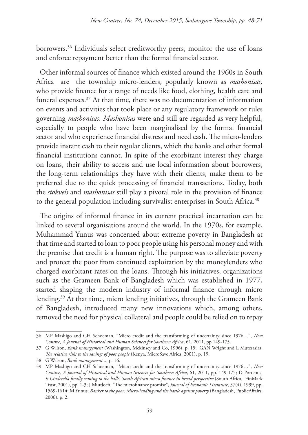borrowers.<sup>36</sup> Individuals select creditworthy peers, monitor the use of loans and enforce repayment better than the formal financial sector.

Other informal sources of finance which existed around the 1960s in South Africa are the township micro-lenders, popularly known as *mashonisas,* who provide finance for a range of needs like food, clothing, health care and funeral expenses.37 At that time, there was no documentation of information on events and activities that took place or any regulatory framework or rules governing *mashonisas*. *Mashonisas* were and still are regarded as very helpful, especially to people who have been marginalised by the formal financial sector and who experience financial distress and need cash. The micro-lenders provide instant cash to their regular clients, which the banks and other formal financial institutions cannot. In spite of the exorbitant interest they charge on loans, their ability to access and use local information about borrowers, the long-term relationships they have with their clients, make them to be preferred due to the quick processing of financial transactions. Today, both the *stokvels* and *mashonisas* still play a pivotal role in the provision of finance to the general population including survivalist enterprises in South Africa.<sup>38</sup>

The origins of informal finance in its current practical incarnation can be linked to several organisations around the world. In the 1970s, for example, Muhammad Yunus was concerned about extreme poverty in Bangladesh at that time and started to loan to poor people using his personal money and with the premise that credit is a human right. The purpose was to alleviate poverty and protect the poor from continued exploitation by the moneylenders who charged exorbitant rates on the loans. Through his initiatives, organizations such as the Grameen Bank of Bangladesh which was established in 1977, started shaping the modern industry of informal finance through micro lending.39 At that time, micro lending initiatives, through the Grameen Bank of Bangladesh, introduced many new innovations which, among others, removed the need for physical collateral and people could be relied on to repay

<sup>36</sup> MP Mashigo and CH Schoeman, "Micro credit and the transforming of uncertainty since 1976…", *New Contree, A Journal of Historical and Human Sciences for Southern Africa*, 61, 2011, pp.149-175.

<sup>37</sup> G Wilson, *Bank management* (Washington, Mckinsey and Co, 1996), p. 15; GAN Wright and L Mutesasira, *The relative risks to the savings of poor people* (Kenya, MicroSave Africa, 2001), p. 19.

<sup>38</sup> G Wilson, *Bank management...*, p. 16.

<sup>39</sup> MP Mashigo and CH Schoeman, "Micro credit and the transforming of uncertainty since 1976…", *New Contree, A Journal of Historical and Human Sciences for Southern Africa*, 61, 2011, pp. 149-175; D Porteous, *Is Cinderella finally coming to the ball?: South African micro finance in broad perspective* (South Africa, FinMark Trust, 2001), pp. 1-3; J Murdoch, "The microfinance promise", *Journal of Economic Literature*, 37(4), 1999, pp. 1569-1614; M Yunus, *Banker to the poor: Micro-lending and the battle against poverty* (Bangladesh, PublicAffairs, 2006), p. 2.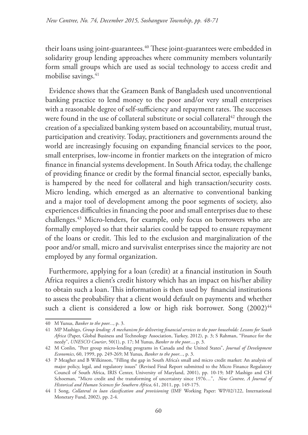their loans using joint-guarantees.<sup>40</sup> These joint-guarantees were embedded in solidarity group lending approaches where community members voluntarily form small groups which are used as social technology to access credit and mobilise savings.<sup>41</sup>

Evidence shows that the Grameen Bank of Bangladesh used unconventional banking practice to lend money to the poor and/or very small enterprises with a reasonable degree of self-sufficiency and repayment rates. The successes were found in the use of collateral substitute or social collateral<sup>42</sup> through the creation of a specialized banking system based on accountability, mutual trust, participation and creativity. Today, practitioners and governments around the world are increasingly focusing on expanding financial services to the poor, small enterprises, low-income in frontier markets on the integration of micro finance in financial systems development. In South Africa today, the challenge of providing finance or credit by the formal financial sector, especially banks, is hampered by the need for collateral and high transaction/security costs. Micro lending, which emerged as an alternative to conventional banking and a major tool of development among the poor segments of society, also experiences difficulties in financing the poor and small enterprises due to these challenges.43 Micro-lenders, for example, only focus on borrowers who are formally employed so that their salaries could be tapped to ensure repayment of the loans or credit. This led to the exclusion and marginalization of the poor and/or small, micro and survivalist enterprises since the majority are not employed by any formal organization.

Furthermore, applying for a loan (credit) at a financial institution in South Africa requires a client's credit history which has an impact on his/her ability to obtain such a loan. This information is then used by financial institutions to assess the probability that a client would default on payments and whether such a client is considered a low or high risk borrower. Song  $(2002)^{44}$ 

<sup>40</sup> M Yunus, *Banker to the poor...*, p. 3.

<sup>41</sup> MP Mashigo, *Group lending: A mechanism for delivering financial services to the poor households: Lessons for South Africa* (Paper, Global Business and Technology Association, Turkey, 2012), p. 3; S Rahman, "Finance for the needy", *UNESCO Courier*, 50(1), p. 17; M Yunus, *Banker to the poor...*, p. 3.

<sup>42</sup> M Conlin, "Peer group micro-lending programs in Canada and the United States", *Journal of Development Economics*, 60, 1999, pp. 249-269; M Yunus, *Banker to the poor...*, p. 3.

<sup>43</sup> P Meagher and B Wilkinson, "Filling the gap in South Africa's small and micro credit market: An analysis of major policy, legal, and regulatory issues" (Revised Final Report submitted to the Micro Finance Regulatory Council of South Africa, IRIS Center, University of Maryland, 2001), pp. 10-19; MP Mashigo and CH Schoeman, "Micro credit and the transforming of uncertainty since 1976…", *New Contree, A Journal of Historical and Human Sciences for Southern Africa*, 61, 2011, pp. 149-175.

<sup>44</sup> I Song, *Collateral in loan classification and provisioning* (IMF Working Paper: WP/02/122, International Monetary Fund, 2002), pp. 2-4.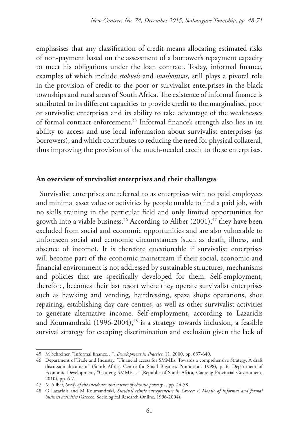emphasises that any classification of credit means allocating estimated risks of non-payment based on the assessment of a borrower's repayment capacity to meet his obligations under the loan contract. Today, informal finance, examples of which include *stokvels* and *mashonisas*, still plays a pivotal role in the provision of credit to the poor or survivalist enterprises in the black townships and rural areas of South Africa. The existence of informal finance is attributed to its different capacities to provide credit to the marginalised poor or survivalist enterprises and its ability to take advantage of the weaknesses of formal contract enforcement.45 Informal finance's strength also lies in its ability to access and use local information about survivalist enterprises (as borrowers), and which contributes to reducing the need for physical collateral, thus improving the provision of the much-needed credit to these enterprises.

#### **An overview of survivalist enterprises and their challenges**

Survivalist enterprises are referred to as enterprises with no paid employees and minimal asset value or activities by people unable to find a paid job, with no skills training in the particular field and only limited opportunities for growth into a viable business.<sup>46</sup> According to Aliber (2001),<sup>47</sup> they have been excluded from social and economic opportunities and are also vulnerable to unforeseen social and economic circumstances (such as death, illness, and absence of income). It is therefore questionable if survivalist enterprises will become part of the economic mainstream if their social, economic and financial environment is not addressed by sustainable structures, mechanisms and policies that are specifically developed for them. Self-employment, therefore, becomes their last resort where they operate survivalist enterprises such as hawking and vending, hairdressing, spaza shops oparations, shoe repairing, establishing day care centres, as well as other survivalist activities to generate alternative income. Self-employment, according to Lazaridis and Koumandraki  $(1996-2004)$ ,<sup>48</sup> is a strategy towards inclusion, a feasible survival strategy for escaping discrimination and exclusion given the lack of

<sup>45</sup> M Schreiner, "Informal finance…", *Development in Practice,* 11, 2000, pp. 637-640.

<sup>46</sup> Department of Trade and Industry, "Financial access for SMMEs: Towards a comprehensive Strategy, A draft discussion document" (South Africa, Centre for Small Business Promotion, 1998), p. 6; Department of Economic Development, "Gauteng SMME…" (Republic of South Africa, Gauteng Provincial Government, 2010), pp. 6-7.

<sup>47</sup> M Aliber, *Study of the incidence and nature of chronic poverty...*, pp. 44-58.

<sup>48</sup> G Lazaridis and M Koumandraki, *Survival ethnic entrepreneurs in Greece: A Mosaic of informal and formal business activities* (Greece, Sociological Research Online, 1996-2004).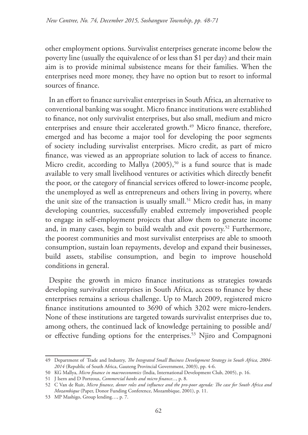other employment options. Survivalist enterprises generate income below the poverty line (usually the equivalence of or less than \$1 per day) and their main aim is to provide minimal subsistence means for their families. When the enterprises need more money, they have no option but to resort to informal sources of finance.

In an effort to finance survivalist enterprises in South Africa, an alternative to conventional banking was sought. Micro finance institutions were established to finance, not only survivalist enterprises, but also small, medium and micro enterprises and ensure their accelerated growth.<sup>49</sup> Micro finance, therefore, emerged and has become a major tool for developing the poor segments of society including survivalist enterprises. Micro credit, as part of micro finance, was viewed as an appropriate solution to lack of access to finance. Micro credit, according to Mallya  $(2005)$ ,<sup>50</sup> is a fund source that is made available to very small livelihood ventures or activities which directly benefit the poor, or the category of financial services offered to lower-income people, the unemployed as well as entrepreneurs and others living in poverty, where the unit size of the transaction is usually small.<sup>51</sup> Micro credit has, in many developing countries, successfully enabled extremely impoverished people to engage in self-employment projects that allow them to generate income and, in many cases, begin to build wealth and exit poverty.<sup>52</sup> Furthermore, the poorest communities and most survivalist enterprises are able to smooth consumption, sustain loan repayments, develop and expand their businesses, build assets, stabilise consumption, and begin to improve household conditions in general.

Despite the growth in micro finance institutions as strategies towards developing survivalist enterprises in South Africa, access to finance by these enterprises remains a serious challenge. Up to March 2009, registered micro finance institutions amounted to 3690 of which 3202 were micro-lenders. None of these institutions are targeted towards survivalist enterprises due to, among others, the continued lack of knowledge pertaining to possible and/ or effective funding options for the enterprises.<sup>53</sup> Njiro and Compagnoni

<sup>49</sup> Department of Trade and Industry, *The Integrated Small Business Development Strategy in South Africa, 2004- 2014* (Republic of South Africa, Gauteng Provincial Government, 2003), pp. 4-6.

<sup>50</sup> KG Mallya, *Micro finance in macroeconomics* (India, International Development Club, 2005), p. 16.

<sup>51</sup> J Isern and D Porteous, *Commercial banks and micro finance...*, p. 8.

<sup>52</sup> C Van de Ruit, *Micro finance, donor roles and influence and the pro-poor agenda: The case for South Africa and Mozambique* (Paper, Donor Funding Conference, Mozambique, 2001), p. 11.

<sup>53</sup> MP Mashigo, Group lending…, p. 7.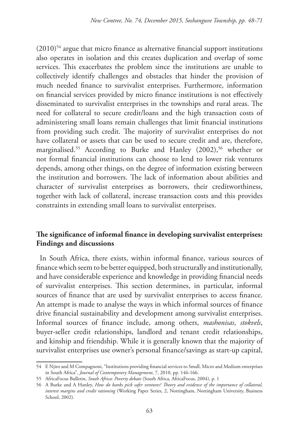$(2010)$ <sup>54</sup> argue that micro finance as alternative financial support institutions also operates in isolation and this creates duplication and overlap of some services. This exacerbates the problem since the institutions are unable to collectively identify challenges and obstacles that hinder the provision of much needed finance to survivalist enterprises. Furthermore, information on financial services provided by micro finance institutions is not effectively disseminated to survivalist enterprises in the townships and rural areas. The need for collateral to secure credit/loans and the high transaction costs of administering small loans remain challenges that limit financial institutions from providing such credit. The majority of survivalist enterprises do not have collateral or assets that can be used to secure credit and are, therefore, marginalised.<sup>55</sup> According to Burke and Hanley (2002),<sup>56</sup> whether or not formal financial institutions can choose to lend to lower risk ventures depends, among other things, on the degree of information existing between the institution and borrowers. The lack of information about abilities and character of survivalist enterprises as borrowers, their creditworthiness, together with lack of collateral, increase transaction costs and this provides constraints in extending small loans to survivalist enterprises.

# **The significance of informal finance in developing survivalist enterprises: Findings and discussions**

In South Africa, there exists, within informal finance, various sources of finance which seem to be better equipped, both structurally and institutionally, and have considerable experience and knowledge in providing financial needs of survivalist enterprises. This section determines, in particular, informal sources of finance that are used by survivalist enterprises to access finance. An attempt is made to analyse the ways in which informal sources of finance drive financial sustainability and development among survivalist enterprises. Informal sources of finance include, among others, *mashonisas*, *stokvels*, buyer-seller credit relationships, landlord and tenant credit relationships, and kinship and friendship. While it is generally known that the majority of survivalist enterprises use owner's personal finance/savings as start-up capital,

<sup>54</sup> E Njiro and M Compagnoni, "Institutions providing financial services to Small, Micro and Medium enterprises in South Africa", *Journal of Contemporary Management,* 7, 2010, pp. 146-166.

<sup>55</sup> AfricaFocus Bulletin, *South Africa: Poverty debate* (South Africa, AfricaFocus, 2004), p. 1

<sup>56</sup> A Burke and A Hanley, *How do banks pick safer ventures? Theory and evidence of the importance of collateral, interest margins and credit rationing* (Working Paper Series, 2, Nottingham, Nottingham University, Business School, 2002).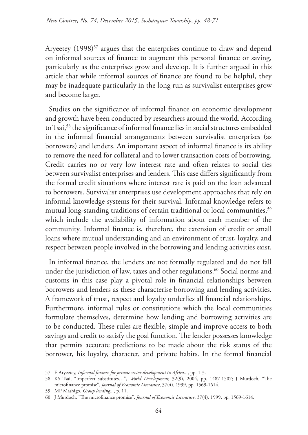Aryeetey (1998)<sup>57</sup> argues that the enterprises continue to draw and depend on informal sources of finance to augment this personal finance or saving, particularly as the enterprises grow and develop. It is further argued in this article that while informal sources of finance are found to be helpful, they may be inadequate particularly in the long run as survivalist enterprises grow and become larger.

Studies on the significance of informal finance on economic development and growth have been conducted by researchers around the world. According to Tsai,58 the significance of informal finance lies in social structures embedded in the informal financial arrangements between survivalist enterprises (as borrowers) and lenders. An important aspect of informal finance is its ability to remove the need for collateral and to lower transaction costs of borrowing. Credit carries no or very low interest rate and often relates to social ties between survivalist enterprises and lenders. This case differs significantly from the formal credit situations where interest rate is paid on the loan advanced to borrowers. Survivalist enterprises use development approaches that rely on informal knowledge systems for their survival. Informal knowledge refers to mutual long-standing traditions of certain traditional or local communities,<sup>59</sup> which include the availability of information about each member of the community. Informal finance is, therefore, the extension of credit or small loans where mutual understanding and an environment of trust, loyalty, and respect between people involved in the borrowing and lending activities exist.

In informal finance, the lenders are not formally regulated and do not fall under the jurisdiction of law, taxes and other regulations.<sup>60</sup> Social norms and customs in this case play a pivotal role in financial relationships between borrowers and lenders as these characterise borrowing and lending activities. A framework of trust, respect and loyalty underlies all financial relationships. Furthermore, informal rules or constitutions which the local communities formulate themselves, determine how lending and borrowing activities are to be conducted. These rules are flexible, simple and improve access to both savings and credit to satisfy the goal function. The lender possesses knowledge that permits accurate predictions to be made about the risk status of the borrower, his loyalty, character, and private habits. In the formal financial

<sup>57</sup> E Aryeetey, *Informal finance for private sector development in Africa...*, pp. 1-3.

<sup>58</sup> KS Tsai, "Imperfect substitutes…", *World Development,* 32(9), 2004, pp. 1487-1507; J Murdoch, "The microfinance promise", *Journal of Economic Literature*, 37(4), 1999, pp. 1569-1614.

<sup>59</sup> MP Mashigo, *Group lending...*, p. 11.

<sup>60</sup> J Murdoch, "The microfinance promise", *Journal of Economic Literature*, 37(4), 1999, pp. 1569-1614.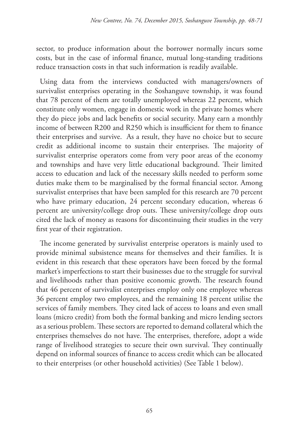sector, to produce information about the borrower normally incurs some costs, but in the case of informal finance, mutual long-standing traditions reduce transaction costs in that such information is readily available.

Using data from the interviews conducted with managers/owners of survivalist enterprises operating in the Soshanguve township, it was found that 78 percent of them are totally unemployed whereas 22 percent, which constitute only women, engage in domestic work in the private homes where they do piece jobs and lack benefits or social security. Many earn a monthly income of between R200 and R250 which is insufficient for them to finance their enterprises and survive. As a result, they have no choice but to secure credit as additional income to sustain their enterprises. The majority of survivalist enterprise operators come from very poor areas of the economy and townships and have very little educational background. Their limited access to education and lack of the necessary skills needed to perform some duties make them to be marginalised by the formal financial sector. Among survivalist enterprises that have been sampled for this research are 70 percent who have primary education, 24 percent secondary education, whereas 6 percent are university/college drop outs. These university/college drop outs cited the lack of money as reasons for discontinuing their studies in the very first year of their registration.

The income generated by survivalist enterprise operators is mainly used to provide minimal subsistence means for themselves and their families. It is evident in this research that these operators have been forced by the formal market's imperfections to start their businesses due to the struggle for survival and livelihoods rather than positive economic growth. The research found that 46 percent of survivalist enterprises employ only one employee whereas 36 percent employ two employees, and the remaining 18 percent utilise the services of family members. They cited lack of access to loans and even small loans (micro credit) from both the formal banking and micro lending sectors as a serious problem. These sectors are reported to demand collateral which the enterprises themselves do not have. The enterprises, therefore, adopt a wide range of livelihood strategies to secure their own survival. They continually depend on informal sources of finance to access credit which can be allocated to their enterprises (or other household activities) (See Table 1 below).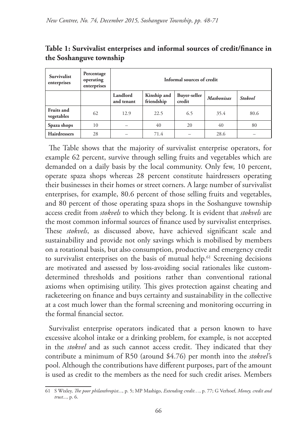| <b>Survivalist</b><br>enterprises | Percentage<br>operating<br>enterprises | Informal sources of credit |                           |                        |                   |                |
|-----------------------------------|----------------------------------------|----------------------------|---------------------------|------------------------|-------------------|----------------|
|                                   |                                        | Landlord<br>and tenant     | Kinship and<br>friendship | Buyer-seller<br>credit | <b>Mashonisas</b> | <b>Stokvel</b> |
| <b>Fruits and</b><br>vegetables   | 62                                     | 12.9                       | 22.5                      | 6.5                    | 35.4              | 80.6           |
| Spaza shops                       | 10                                     |                            | 40                        | 20                     | 40                | 80             |
| <b>Hairdressers</b>               | 28                                     |                            | 71.4                      |                        | 28.6              |                |

**Table 1: Survivalist enterprises and informal sources of credit/finance in the Soshanguve township**

The Table shows that the majority of survivalist enterprise operators, for example 62 percent, survive through selling fruits and vegetables which are demanded on a daily basis by the local community. Only few, 10 percent, operate spaza shops whereas 28 percent constitute hairdressers operating their businesses in their homes or street corners. A large number of survivalist enterprises, for example, 80.6 percent of those selling fruits and vegetables, and 80 percent of those operating spaza shops in the Soshanguve township access credit from *stokvels* to which they belong. It is evident that *stokvels* are the most common informal sources of finance used by survivalist enterprises. These *stokvels*, as discussed above, have achieved significant scale and sustainability and provide not only savings which is mobilised by members on a rotational basis, but also consumption, productive and emergency credit to survivalist enterprises on the basis of mutual help.<sup>61</sup> Screening decisions are motivated and assessed by loss-avoiding social rationales like customdetermined thresholds and positions rather than conventional rational axioms when optimising utility. This gives protection against cheating and racketeering on finance and buys certainty and sustainability in the collective at a cost much lower than the formal screening and monitoring occurring in the formal financial sector.

Survivalist enterprise operators indicated that a person known to have excessive alcohol intake or a drinking problem, for example, is not accepted in the *stokvel* and as such cannot access credit. They indicated that they contribute a minimum of R50 (around \$4.76) per month into the *stokvel'*s pool. Although the contributions have different purposes, part of the amount is used as credit to the members as the need for such credit arises. Members

<sup>61</sup> S Wixley, *The poor philanthropist...*, p. 5; MP Mashigo, *Extending credit…*, p. 77; G Verhoef, *Money, credit and trust...,* p. 6.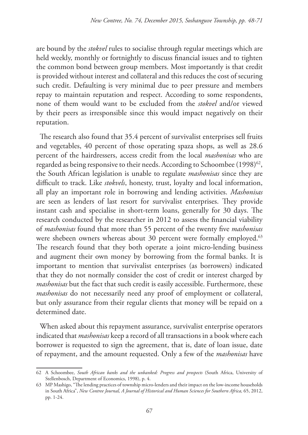are bound by the *stokvel* rules to socialise through regular meetings which are held weekly, monthly or fortnightly to discuss financial issues and to tighten the common bond between group members. Most importantly is that credit is provided without interest and collateral and this reduces the cost of securing such credit. Defaulting is very minimal due to peer pressure and members repay to maintain reputation and respect. According to some respondents, none of them would want to be excluded from the *stokvel* and/or viewed by their peers as irresponsible since this would impact negatively on their reputation.

The research also found that 35.4 percent of survivalist enterprises sell fruits and vegetables, 40 percent of those operating spaza shops, as well as 28.6 percent of the hairdressers, access credit from the local *mashonisas* who are regarded as being responsive to their needs. According to Schoombee (1998)<sup>62</sup>, the South African legislation is unable to regulate *mashonisas* since they are difficult to track. Like *stokvels*, honesty, trust, loyalty and local information, all play an important role in borrowing and lending activities. *Mashonisas*  are seen as lenders of last resort for survivalist enterprises. They provide instant cash and specialise in short-term loans, generally for 30 days. The research conducted by the researcher in 2012 to assess the financial viability of *mashonisas* found that more than 55 percent of the twenty five *mashonisas* were shebeen owners whereas about 30 percent were formally employed.<sup>63</sup> The research found that they both operate a joint micro-lending business and augment their own money by borrowing from the formal banks. It is important to mention that survivalist enterprises (as borrowers) indicated that they do not normally consider the cost of credit or interest charged by *mashonisas* but the fact that such credit is easily accessible. Furthermore, these *mashonisas* do not necessarily need any proof of employment or collateral, but only assurance from their regular clients that money will be repaid on a determined date.

When asked about this repayment assurance, survivalist enterprise operators indicated that *mashonisas* keep a record of all transactions in a book where each borrower is requested to sign the agreement, that is, date of loan issue, date of repayment, and the amount requested. Only a few of the *mashonisas* have

<sup>62</sup> A Schoombee, *South African banks and the unbanked: Progress and prospects* (South Africa, University of Stellenbosch, Department of Economics, 1998), p. 4.

<sup>63</sup> MP Mashigo, "The lending practices of township micro-lenders and their impact on the low-income households in South Africa", *New Contree Journal, A Journal of Historical and Human Sciences for Southern Africa,* 65, 2012, pp. 1-24.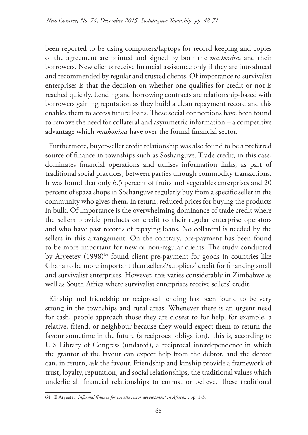been reported to be using computers/laptops for record keeping and copies of the agreement are printed and signed by both the *mashonisas* and their borrowers. New clients receive financial assistance only if they are introduced and recommended by regular and trusted clients. Of importance to survivalist enterprises is that the decision on whether one qualifies for credit or not is reached quickly. Lending and borrowing contracts are relationship-based with borrowers gaining reputation as they build a clean repayment record and this enables them to access future loans. These social connections have been found to remove the need for collateral and asymmetric information – a competitive advantage which *mashonisas* have over the formal financial sector.

Furthermore, buyer-seller credit relationship was also found to be a preferred source of finance in townships such as Soshanguve. Trade credit, in this case, dominates financial operations and utilises information links, as part of traditional social practices, between parties through commodity transactions. It was found that only 6.5 percent of fruits and vegetables enterprises and 20 percent of spaza shops in Soshanguve regularly buy from a specific seller in the community who gives them, in return, reduced prices for buying the products in bulk. Of importance is the overwhelming dominance of trade credit where the sellers provide products on credit to their regular enterprise operators and who have past records of repaying loans. No collateral is needed by the sellers in this arrangement. On the contrary, pre-payment has been found to be more important for new or non-regular clients. The study conducted by Aryeetey (1998)<sup>64</sup> found client pre-payment for goods in countries like Ghana to be more important than sellers'/suppliers' credit for financing small and survivalist enterprises. However, this varies considerably in Zimbabwe as well as South Africa where survivalist enterprises receive sellers' credit.

Kinship and friendship or reciprocal lending has been found to be very strong in the townships and rural areas. Whenever there is an urgent need for cash, people approach those they are closest to for help, for example, a relative, friend, or neighbour because they would expect them to return the favour sometime in the future (a reciprocal obligation). This is, according to U.S Library of Congress (undated), a reciprocal interdependence in which the grantor of the favour can expect help from the debtor, and the debtor can, in return, ask the favour. Friendship and kinship provide a framework of trust, loyalty, reputation, and social relationships, the traditional values which underlie all financial relationships to entrust or believe. These traditional

<sup>64</sup> E Aryeetey, *Informal finance for private sector development in Africa...*, pp. 1-3.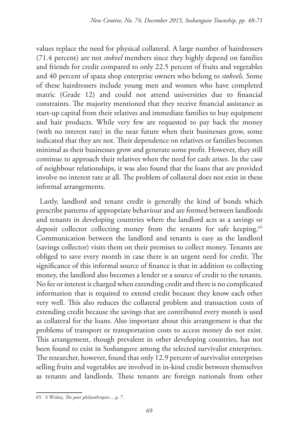values replace the need for physical collateral. A large number of hairdressers (71.4 percent) are not *stokvel* members since they highly depend on families and friends for credit compared to only 22.5 percent of fruits and vegetables and 40 percent of spaza shop enterprise owners who belong to *stokvels*. Some of these hairdressers include young men and women who have completed matric (Grade 12) and could not attend universities due to financial constraints. The majority mentioned that they receive financial assistance as start-up capital from their relatives and immediate families to buy equipment and hair products. While very few are requested to pay back the money (with no interest rate) in the near future when their businesses grow, some indicated that they are not. Their dependence on relatives or families becomes minimal as their businesses grow and generate some profit. However, they still continue to approach their relatives when the need for cash arises. In the case of neighbour relationships, it was also found that the loans that are provided involve no interest rate at all. The problem of collateral does not exist in these informal arrangements.

Lastly, landlord and tenant credit is generally the kind of bonds which prescribe patterns of appropriate behaviour and are formed between landlords and tenants in developing countries where the landlord acts as a savings or deposit collector collecting money from the tenants for safe keeping.<sup>65</sup> Communication between the landlord and tenants is easy as the landlord (savings collector) visits them on their premises to collect money. Tenants are obliged to save every month in case there is an urgent need for credit. The significance of this informal source of finance is that in addition to collecting money, the landlord also becomes a lender or a source of credit to the tenants. No fee or interest is charged when extending credit and there is no complicated information that is required to extend credit because they know each other very well. This also reduces the collateral problem and transaction costs of extending credit because the savings that are contributed every month is used as collateral for the loans. Also important about this arrangement is that the problems of transport or transportation costs to access money do not exist. This arrangement, though prevalent in other developing countries, has not been found to exist in Soshanguve among the selected survivalist enterprises. The researcher, however, found that only 12.9 percent of survivalist enterprises selling fruits and vegetables are involved in in-kind credit between themselves as tenants and landlords. These tenants are foreign nationals from other

<sup>65</sup> S Wixley, *The poor philanthropist...*, p. 7.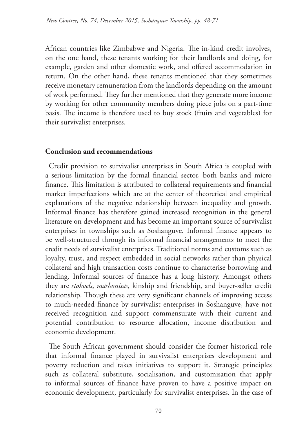African countries like Zimbabwe and Nigeria. The in-kind credit involves, on the one hand, these tenants working for their landlords and doing, for example, garden and other domestic work, and offered accommodation in return. On the other hand, these tenants mentioned that they sometimes receive monetary remuneration from the landlords depending on the amount of work performed. They further mentioned that they generate more income by working for other community members doing piece jobs on a part-time basis. The income is therefore used to buy stock (fruits and vegetables) for their survivalist enterprises.

### **Conclusion and recommendations**

Credit provision to survivalist enterprises in South Africa is coupled with a serious limitation by the formal financial sector, both banks and micro finance. This limitation is attributed to collateral requirements and financial market imperfections which are at the center of theoretical and empirical explanations of the negative relationship between inequality and growth. Informal finance has therefore gained increased recognition in the general literature on development and has become an important source of survivalist enterprises in townships such as Soshanguve. Informal finance appears to be well-structured through its informal financial arrangements to meet the credit needs of survivalist enterprises. Traditional norms and customs such as loyalty, trust, and respect embedded in social networks rather than physical collateral and high transaction costs continue to characterise borrowing and lending. Informal sources of finance has a long history. Amongst others they are *stokvels*, *mashonisas*, kinship and friendship, and buyer-seller credit relationship. Though these are very significant channels of improving access to much-needed finance by survivalist enterprises in Soshanguve, have not received recognition and support commensurate with their current and potential contribution to resource allocation, income distribution and economic development.

The South African government should consider the former historical role that informal finance played in survivalist enterprises development and poverty reduction and takes initiatives to support it. Strategic principles such as collateral substitute, socialisation, and customisation that apply to informal sources of finance have proven to have a positive impact on economic development, particularly for survivalist enterprises. In the case of